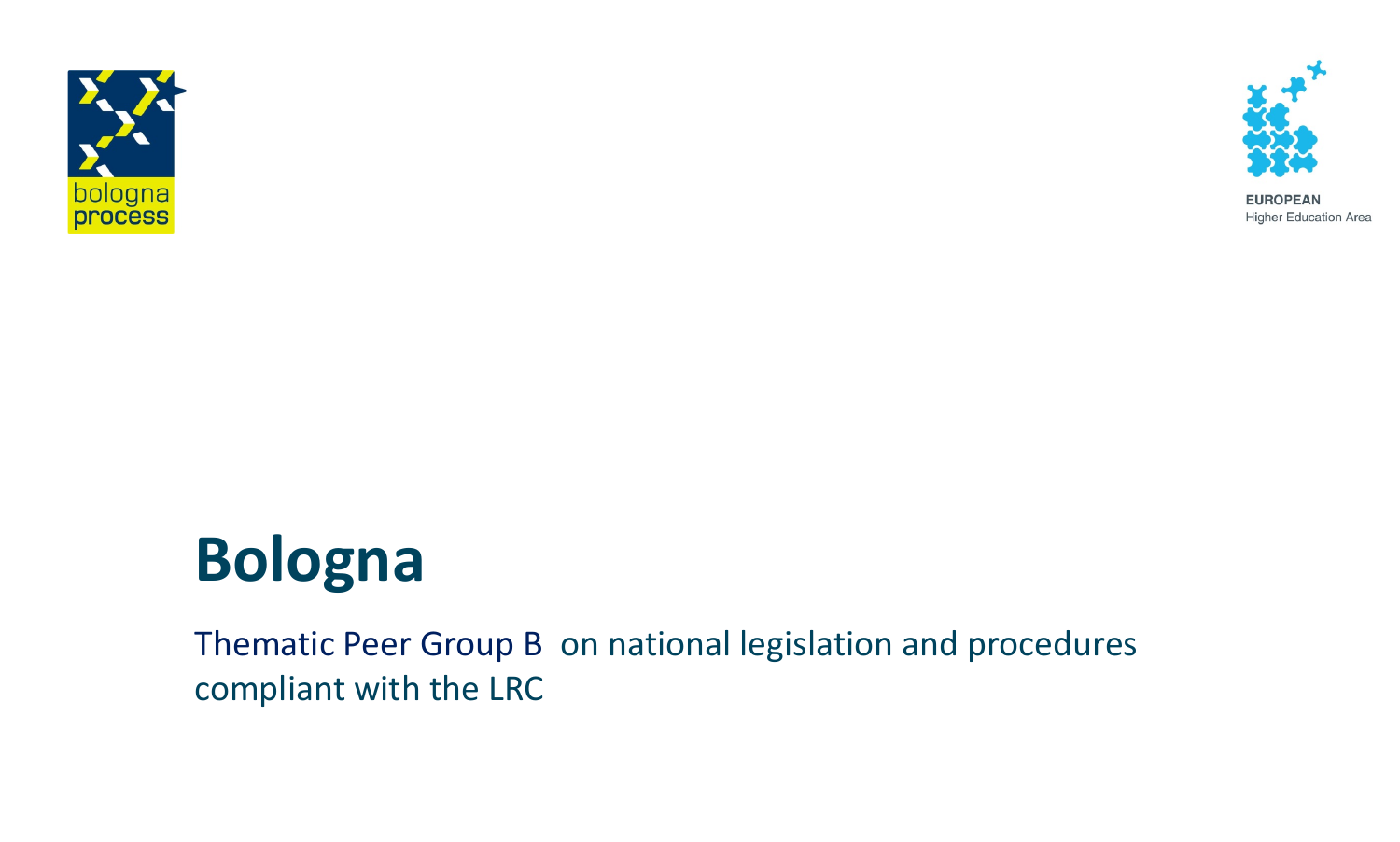



**EUROPEAN Higher Education Area** 

# **Bologna**

Thematic Peer Group B on national legislation and procedures compliant with the LRC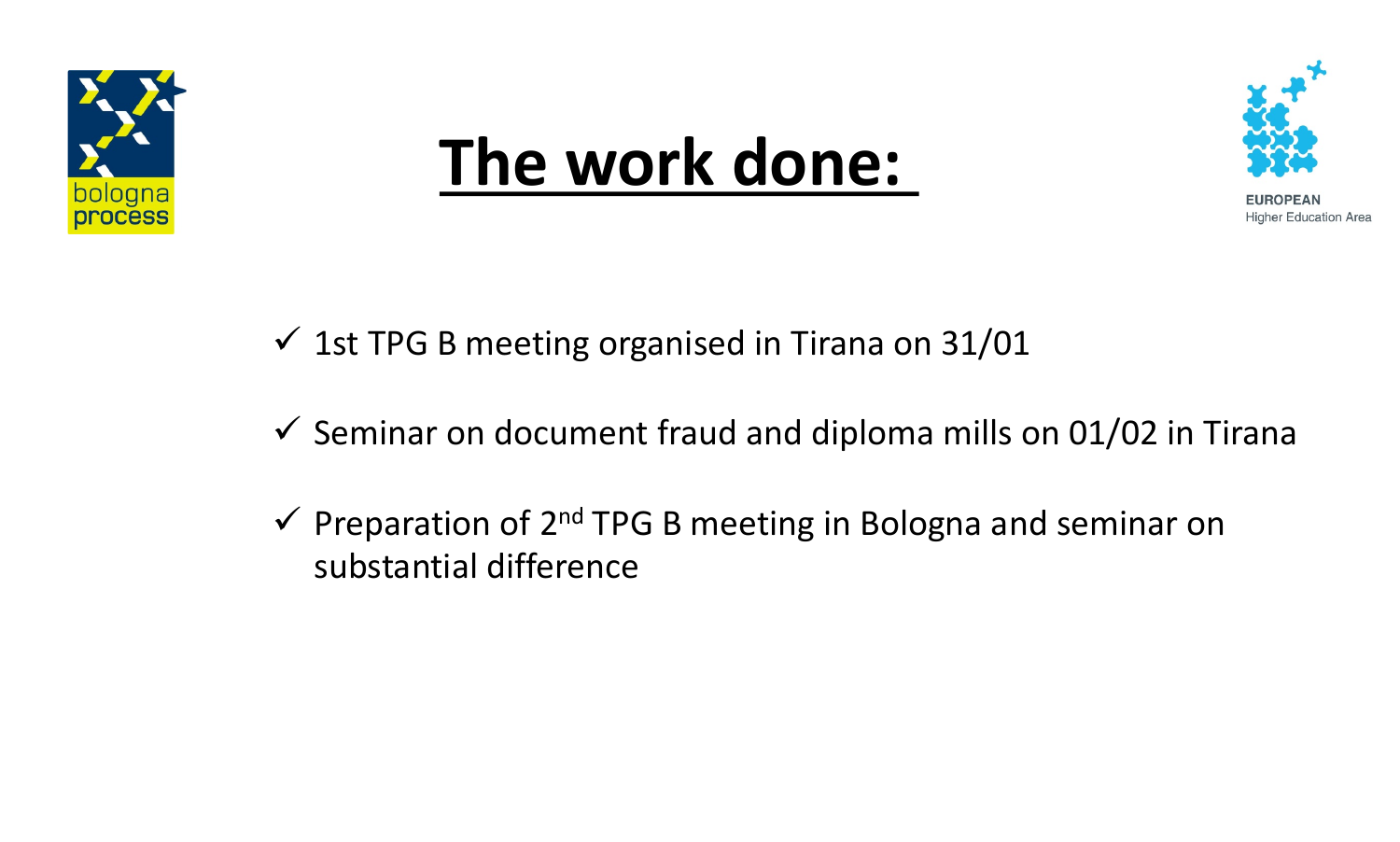

## **compliant with the LRC The work done:**



**Higher Education Area** 

- $\checkmark$  1st TPG B meeting organised in Tirana on 31/01
- $\checkmark$  Seminar on document fraud and diploma mills on 01/02 in Tirana
- $\checkmark$  Preparation of 2<sup>nd</sup> TPG B meeting in Bologna and seminar on substantial difference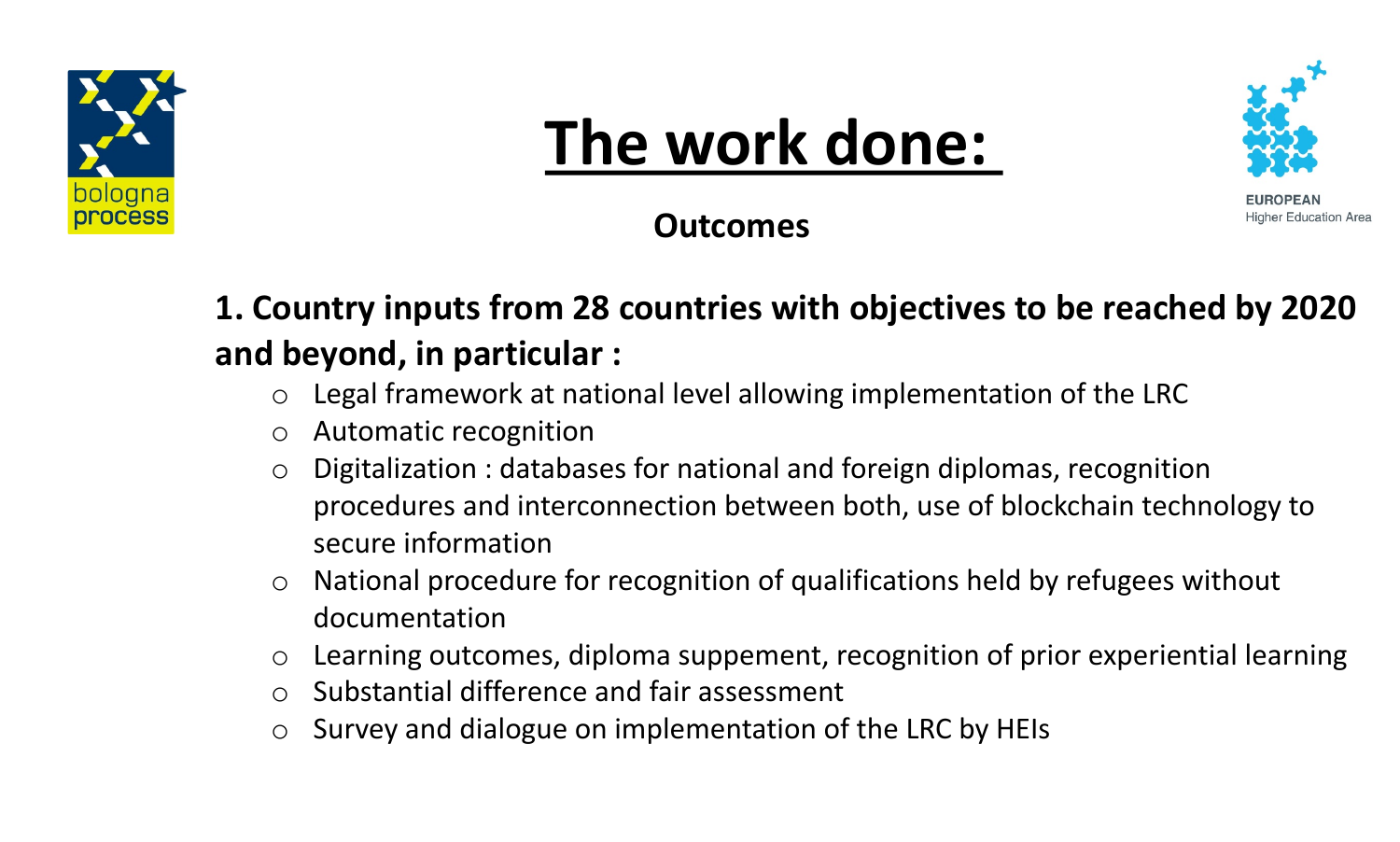

# **The work done:**



Higher Education Area

**Outcomes**

### **1. Country inputs from 28 countries with objectives to be reached by 2020 and beyond, in particular :**

- $\circ$  Legal framework at national level allowing implementation of the LRC
- o Automatic recognition
- Digitalization : databases for national and foreign diplomas, recognition procedures and interconnection between both, use of blockchain technology to secure information
- National procedure for recognition of qualifications held by refugees without documentation
- o Learning outcomes, diploma suppement, recognition of prior experiential learning
- o Substantial difference and fair assessment
- o Survey and dialogue on implementation of the LRC by HEIs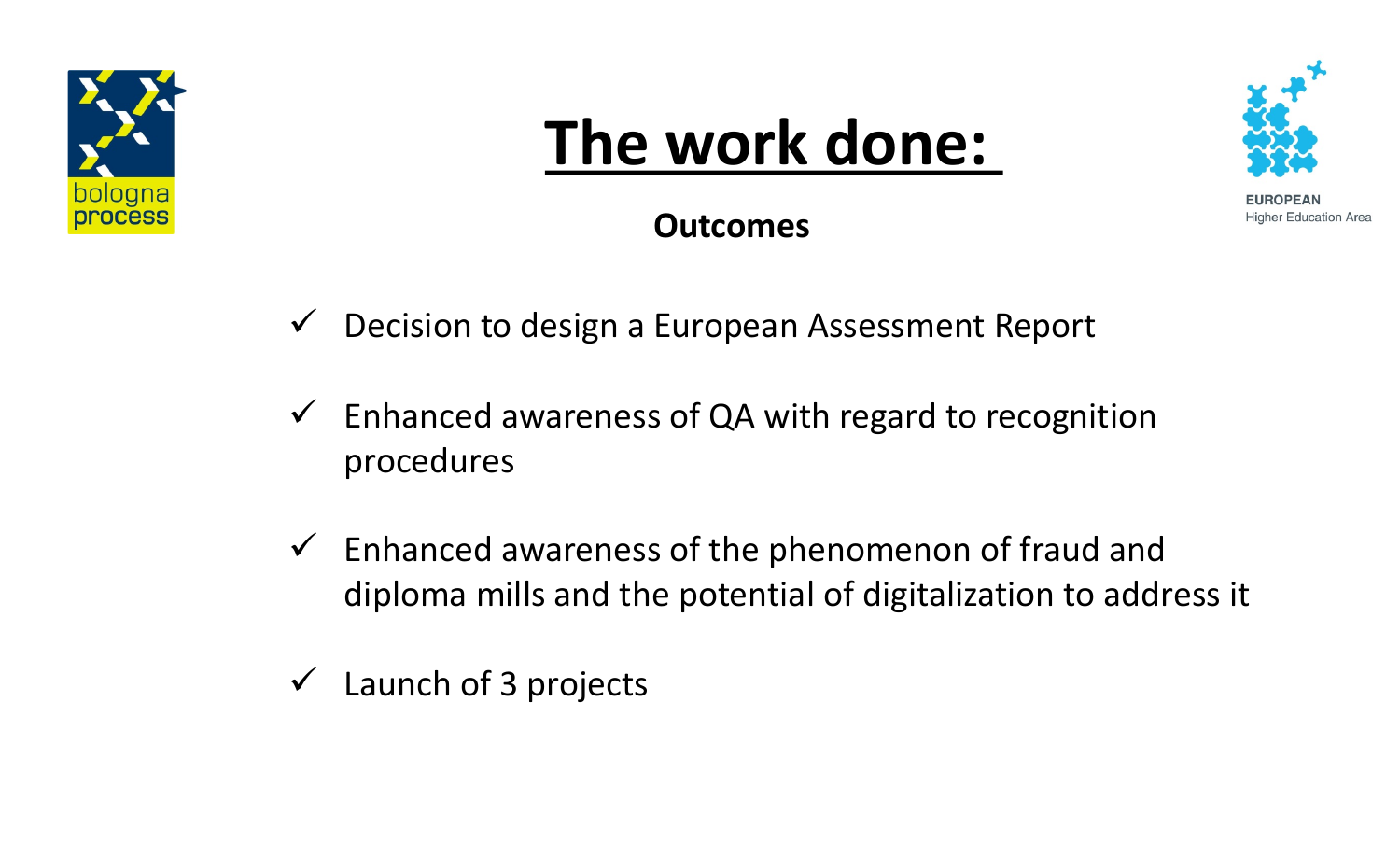

#### rhouse dependent **The work done:**



**Higher Education Area** 

**Outcomes**

- $\checkmark$  Decision to design a European Assessment Report
- $\checkmark$  Enhanced awareness of QA with regard to recognition procedures
- $\checkmark$  Enhanced awareness of the phenomenon of fraud and diploma mills and the potential of digitalization to address it
- $\checkmark$  Launch of 3 projects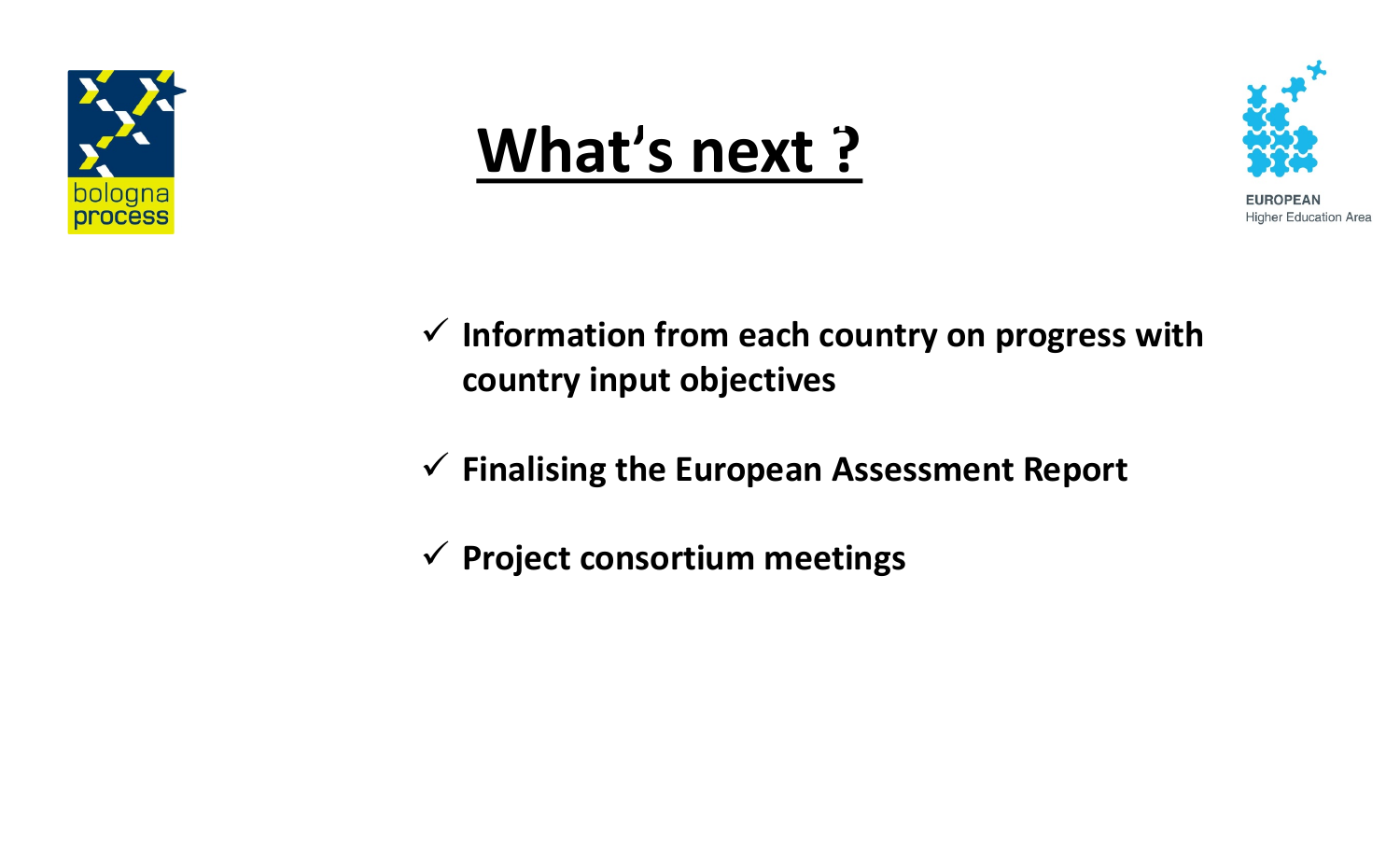

### **What's next ? compliant with the LRC**



**Higher Education Area** 

- ü **Information from each country on progress with country input objectives**
- ü **Finalising the European Assessment Report**
- ü **Project consortium meetings**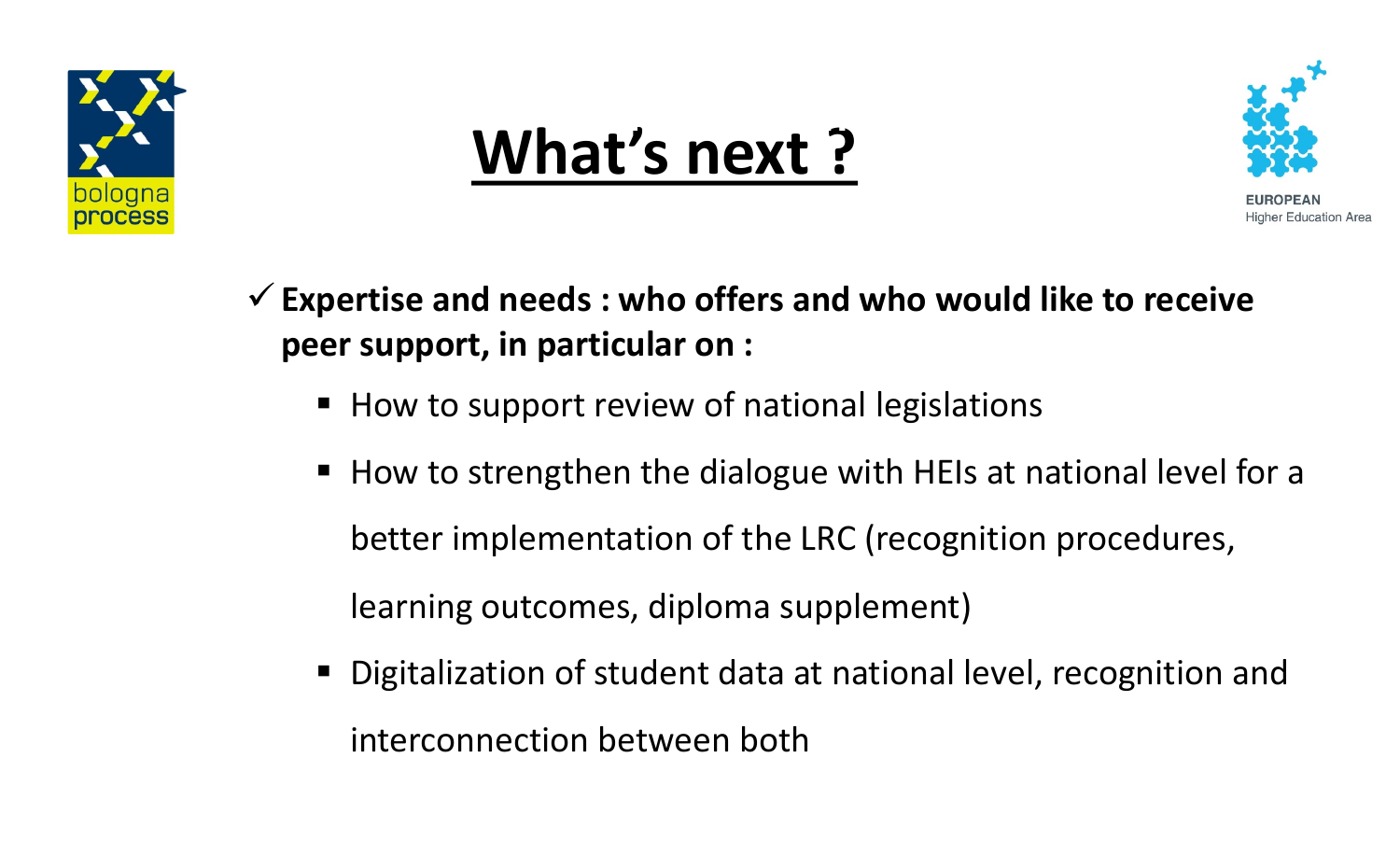

### **What's next ? compliant with the LRC**



- ü**Expertise and needs : who offers and who would like to receive peer support, in particular on :**
	- How to support review of national legislations
	- How to strengthen the dialogue with HEIs at national level for a better implementation of the LRC (recognition procedures, learning outcomes, diploma supplement)
	- Digitalization of student data at national level, recognition and interconnection between both